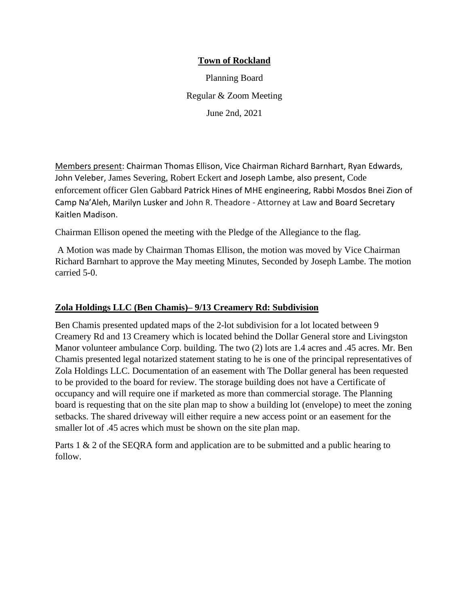### **Town of Rockland**

Planning Board Regular & Zoom Meeting June 2nd, 2021

Members present: Chairman Thomas Ellison, Vice Chairman Richard Barnhart, Ryan Edwards, John Veleber, James Severing, Robert Eckert and Joseph Lambe, also present, Code enforcement officer Glen Gabbard Patrick Hines of MHE engineering, Rabbi Mosdos Bnei Zion of Camp Na'Aleh, Marilyn Lusker and John R. Theadore - Attorney at Law and Board Secretary Kaitlen Madison.

Chairman Ellison opened the meeting with the Pledge of the Allegiance to the flag.

A Motion was made by Chairman Thomas Ellison, the motion was moved by Vice Chairman Richard Barnhart to approve the May meeting Minutes, Seconded by Joseph Lambe. The motion carried 5-0.

### **Zola Holdings LLC (Ben Chamis)– 9/13 Creamery Rd: Subdivision**

Ben Chamis presented updated maps of the 2-lot subdivision for a lot located between 9 Creamery Rd and 13 Creamery which is located behind the Dollar General store and Livingston Manor volunteer ambulance Corp. building. The two (2) lots are 1.4 acres and .45 acres. Mr. Ben Chamis presented legal notarized statement stating to he is one of the principal representatives of Zola Holdings LLC. Documentation of an easement with The Dollar general has been requested to be provided to the board for review. The storage building does not have a Certificate of occupancy and will require one if marketed as more than commercial storage. The Planning board is requesting that on the site plan map to show a building lot (envelope) to meet the zoning setbacks. The shared driveway will either require a new access point or an easement for the smaller lot of .45 acres which must be shown on the site plan map.

Parts 1 & 2 of the SEQRA form and application are to be submitted and a public hearing to follow.